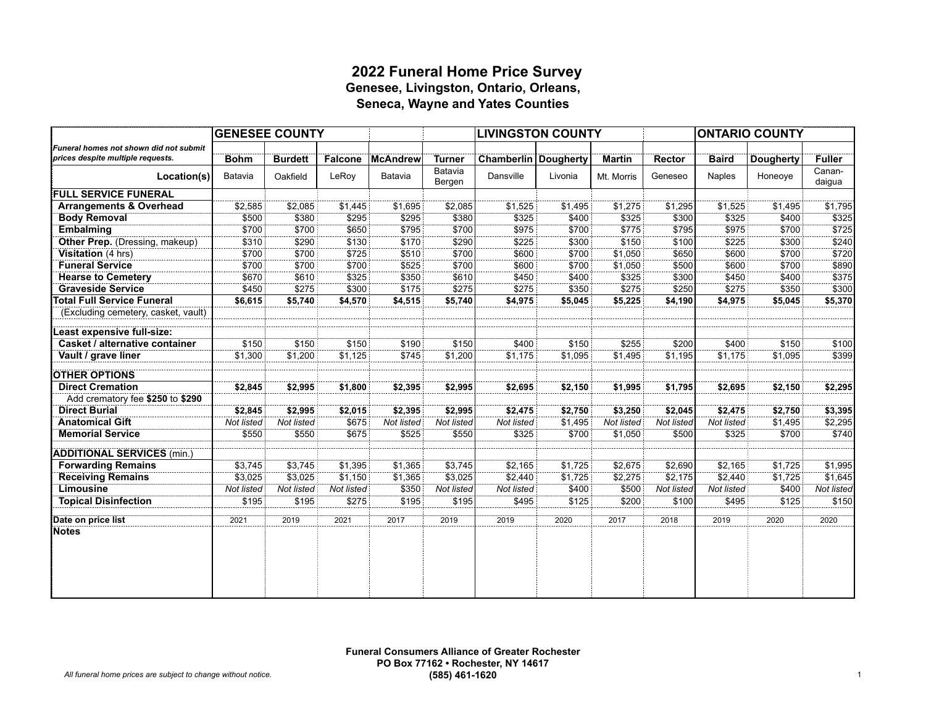### **2022 Funeral Home Price Survey Genesee, Livingston, Ontario, Orleans, Seneca, Wayne and Yates Counties**

|                                        |             | <b>GENESEE COUNTY</b> |                |                 |                   | <b>LIVINGSTON COUNTY</b>      |         | <b>ONTARIO COUNTY</b> |               |               |                  |                  |
|----------------------------------------|-------------|-----------------------|----------------|-----------------|-------------------|-------------------------------|---------|-----------------------|---------------|---------------|------------------|------------------|
| Funeral homes not shown did not submit |             |                       |                |                 |                   |                               |         |                       |               |               |                  |                  |
| prices despite multiple requests.      | <b>Bohm</b> | <b>Burdett</b>        | <b>Falcone</b> | <b>McAndrew</b> | <b>Turner</b>     | <b>Chamberlin   Dougherty</b> |         | <b>Martin</b>         | <b>Rector</b> | <b>Baird</b>  | <b>Dougherty</b> | <b>Fuller</b>    |
| Location(s)                            | Batavia     | Oakfield              | LeRoy          | Batavia         | Batavia<br>Bergen | Dansville                     | Livonia | Mt. Morris            | Geneseo       | <b>Naples</b> | Honeoye          | Canan-<br>daigua |
| <b>FULL SERVICE FUNERAL</b>            |             |                       |                |                 |                   |                               |         |                       |               |               |                  |                  |
| <b>Arrangements &amp; Overhead</b>     | \$2,585     | \$2,085               | \$1,445        | \$1,695         | \$2,085           | \$1,525                       | \$1,495 | \$1,275               | \$1,295       | \$1,525       | \$1,495          | \$1,795          |
| <b>Body Removal</b>                    | \$500       | \$380                 | \$295          | \$295           | \$380             | \$325                         | \$400   | \$325                 | \$300         | \$325         | \$400            | \$325            |
| <b>Embalming</b>                       | \$700       | \$700                 | \$650          | \$795           | \$700             | \$975                         | \$700   | \$775                 | \$795         | \$975         | \$700            | \$725            |
| Other Prep. (Dressing, makeup)         | \$310       | \$290                 | \$130          | \$170           | \$290             | \$225                         | \$300   | \$150                 | \$100         | \$225         | \$300            | \$240            |
| Visitation (4 hrs)                     | \$700       | \$700                 | \$725          | \$510           | \$700             | \$600                         | \$700   | \$1,050               | \$650         | \$600         | \$700            | \$720            |
| <b>Funeral Service</b>                 | \$700       | \$700                 | \$700          | \$525           | \$700             | \$600                         | \$700   | \$1,050               | \$500         | \$600         | \$700            | \$890            |
| <b>Hearse to Cemetery</b>              | \$670       | \$610                 | \$325          | \$350           | \$610             | \$450                         | \$400   | \$325                 | \$300         | \$450         | \$400            | \$375            |
| <b>Graveside Service</b>               | \$450       | \$275                 | \$300          | \$175           | \$275             | \$275                         | \$350   | \$275                 | \$250         | \$275         | \$350            | \$300            |
| <b>Total Full Service Funeral</b>      | \$6,615     | \$5,740               | \$4,570        | \$4,515         | \$5,740           | \$4,975                       | \$5,045 | \$5,225               | \$4,190       | \$4,975       | \$5,045          | \$5,370          |
| (Excluding cemetery, casket, vault)    |             |                       |                |                 |                   |                               |         |                       |               |               |                  |                  |
| Least expensive full-size:             |             |                       |                |                 |                   |                               |         |                       |               |               |                  |                  |
| Casket / alternative container         | \$150       | \$150                 | \$150          | \$190           | \$150             | \$400                         | \$150   | \$255                 | \$200         | \$400         | \$150            | \$100            |
| Vault / grave liner                    | \$1,300     | \$1,200               | \$1,125        | \$745           | \$1,200           | \$1,175                       | \$1,095 | \$1,495               | \$1,195       | \$1,175       | \$1,095          | \$399            |
| <b>OTHER OPTIONS</b>                   |             |                       |                |                 |                   |                               |         |                       |               |               |                  |                  |
| <b>Direct Cremation</b>                | \$2,845     | \$2,995               | \$1,800        | \$2,395         | \$2,995           | \$2,695                       | \$2,150 | \$1,995               | \$1,795       | \$2,695       | \$2,150          | \$2,295          |
| Add crematory fee \$250 to \$290       |             |                       |                |                 |                   |                               |         |                       |               |               |                  |                  |
| <b>Direct Burial</b>                   | \$2,845     | \$2,995               | \$2,015        | \$2,395         | \$2,995           | \$2,475                       | \$2,750 | \$3,250               | \$2,045       | \$2,475       | \$2,750          | \$3,395          |
| <b>Anatomical Gift</b>                 | Not listed  | Not listed            | \$675          | Not listed      | Not listed        | Not listed                    | \$1,495 | Not listed            | Not listed    | Not listed    | \$1,495          | \$2,295          |
| <b>Memorial Service</b>                | \$550       | \$550                 | \$675          | \$525           | \$550             | \$325                         | \$700   | \$1,050               | \$500         | \$325         | \$700            | \$740            |
| <b>ADDITIONAL SERVICES (min.)</b>      |             |                       |                |                 |                   |                               |         |                       |               |               |                  |                  |
| <b>Forwarding Remains</b>              | \$3,745     | \$3,745               | \$1,395        | \$1,365         | \$3,745           | \$2,165                       | \$1,725 | \$2,675               | \$2,690       | \$2,165       | \$1,725          | \$1,995          |
| <b>Receiving Remains</b>               | \$3,025     | \$3,025               | \$1,150        | \$1,365         | \$3,025           | \$2,440                       | \$1,725 | \$2,275               | \$2,175       | \$2,440       | \$1,725          | \$1,645          |
| Limousine                              | Not listed  | Not listed            | Not listed     | \$350           | Not listed        | Not listed                    | \$400   | \$500                 | Not listed    | Not listed    | \$400            | Not listed       |
| <b>Topical Disinfection</b>            | \$195       | \$195                 | \$275          | \$195           | \$195             | \$495                         | \$125   | \$200                 | \$100         | \$495         | \$125            | \$150            |
| Date on price list                     | 2021        | 2019                  | 2021           | 2017            | 2019              | 2019                          | 2020    | 2017                  | 2018          | 2019          | 2020             | 2020             |
| Notes                                  |             |                       |                |                 |                   |                               |         |                       |               |               |                  |                  |
|                                        |             |                       |                |                 |                   |                               |         |                       |               |               |                  |                  |
|                                        |             |                       |                |                 |                   |                               |         |                       |               |               |                  |                  |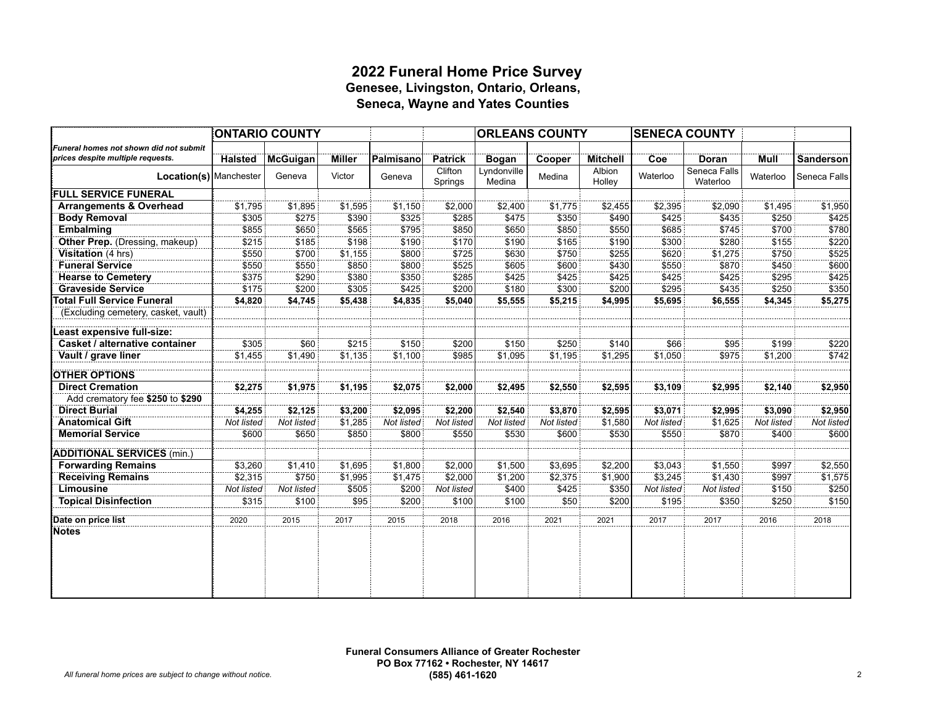### **2022 Funeral Home Price Survey Genesee, Livingston, Ontario, Orleans, Seneca, Wayne and Yates Counties**

|                                                                             |                | <b>ONTARIO COUNTY</b> | <b>ORLEANS COUNTY</b> |            |                    |                       | <b>SENECA COUNTY</b> |                  |            |                          |            |              |
|-----------------------------------------------------------------------------|----------------|-----------------------|-----------------------|------------|--------------------|-----------------------|----------------------|------------------|------------|--------------------------|------------|--------------|
| Funeral homes not shown did not submit<br>prices despite multiple requests. | <b>Halsted</b> | <b>McGuigan</b>       | <b>Miller</b>         | Palmisano  | <b>Patrick</b>     | <b>Bogan</b>          | Cooper               | <b>Mitchell</b>  | Coe        | Doran                    | Mull       | Sanderson    |
| Location(s) Manchester                                                      |                | Geneva                | Victor                | Geneva     | Clifton<br>Springs | Lyndonville<br>Medina | Medina               | Albion<br>Holley | Waterloo   | Seneca Falls<br>Waterloo | Waterloo   | Seneca Falls |
| <b>FULL SERVICE FUNERAL</b>                                                 |                |                       |                       |            |                    |                       |                      |                  |            |                          |            |              |
| <b>Arrangements &amp; Overhead</b>                                          | \$1,795        | \$1,895               | \$1,595               | \$1,150    | \$2,000            | \$2,400               | \$1,775              | \$2,455          | \$2,395    | \$2,090                  | \$1,495    | \$1,950      |
| <b>Body Removal</b>                                                         | \$305          | \$275                 | \$390                 | \$325      | \$285              | \$475                 | \$350                | \$490            | \$425      | \$435                    | \$250      | \$425        |
| <b>Embalming</b>                                                            | \$855          | \$650                 | \$565                 | \$795      | \$850              | \$650                 | \$850                | \$550            | \$685      | \$745                    | \$700      | \$780        |
| Other Prep. (Dressing, makeup)                                              | \$215          | \$185                 | \$198                 | \$190      | \$170              | \$190                 | \$165                | \$190            | \$300      | \$280                    | \$155      | \$220        |
| Visitation (4 hrs)                                                          | \$550          | \$700                 | \$1,155               | \$800      | \$725              | \$630                 | \$750                | \$255            | \$620      | \$1,275                  | \$750      | \$525        |
| <b>Funeral Service</b>                                                      | \$550          | \$550                 | \$850                 | \$800      | \$525              | \$605                 | \$600                | \$430            | \$550      | \$870                    | \$450      | \$600        |
| <b>Hearse to Cemetery</b>                                                   | \$375          | \$290                 | \$380                 | \$350      | \$285              | \$425                 | \$425                | \$425            | \$425      | \$425                    | \$295      | \$425        |
| <b>Graveside Service</b>                                                    | \$175          | \$200                 | \$305                 | \$425      | \$200              | \$180                 | \$300                | \$200            | \$295      | \$435                    | \$250      | \$350        |
| <b>Total Full Service Funeral</b>                                           | \$4,820        | \$4,745               | \$5,438               | \$4,835    | \$5,040            | \$5,555               | \$5,215              | \$4,995          | \$5,695    | \$6,555                  | \$4,345    | \$5,275      |
| (Excluding cemetery, casket, vault)                                         |                |                       |                       |            |                    |                       |                      |                  |            |                          |            |              |
| Least expensive full-size:                                                  |                |                       |                       |            |                    |                       |                      |                  |            |                          |            |              |
| Casket / alternative container                                              | \$305          | \$60                  | \$215                 | \$150      | \$200              | \$150                 | \$250                | \$140            | \$66       | \$95                     | \$199      | \$220        |
| Vault / grave liner                                                         | \$1,455        | \$1,490               | \$1,135               | \$1,100    | \$985              | \$1,095               | \$1,195              | \$1,295          | \$1,050    | \$975                    | \$1,200    | \$742        |
| <b>OTHER OPTIONS</b>                                                        |                |                       |                       |            |                    |                       |                      |                  |            |                          |            |              |
| <b>Direct Cremation</b>                                                     | \$2,275        | \$1,975               | \$1,195               | \$2,075    | \$2,000            | \$2,495               | \$2,550              | \$2,595          | \$3,109    | \$2,995                  | \$2,140    | \$2,950      |
| Add crematory fee \$250 to \$290                                            |                |                       |                       |            |                    |                       |                      |                  |            |                          |            |              |
| <b>Direct Burial</b>                                                        | \$4,255        | \$2,125               | \$3,200               | \$2,095    | \$2,200            | \$2,540               | \$3,870              | \$2,595          | \$3,071    | \$2,995                  | \$3,090    | \$2,950      |
| <b>Anatomical Gift</b>                                                      | Not listed     | Not listed            | \$1,285               | Not listed | Not listed         | Not listed            | Not listed           | \$1,580          | Not listed | \$1,625                  | Not listed | Not listed   |
| <b>Memorial Service</b>                                                     | \$600          | \$650                 | \$850                 | \$800      | \$550              | \$530                 | \$600                | \$530            | \$550      | \$870                    | \$400      | \$600        |
| <b>ADDITIONAL SERVICES (min.)</b>                                           |                |                       |                       |            |                    |                       |                      |                  |            |                          |            |              |
| <b>Forwarding Remains</b>                                                   | \$3,260        | \$1,410               | \$1,695               | \$1,800    | \$2,000            | \$1,500               | \$3,695              | \$2,200          | \$3,043    | \$1,550                  | \$997      | \$2,550      |
| <b>Receiving Remains</b>                                                    | \$2,315        | \$750                 | \$1,995               | \$1,475    | \$2,000            | \$1,200               | \$2,375              | \$1,900          | \$3,245    | \$1,430                  | \$997      | \$1,575      |
| Limousine                                                                   | Not listed     | Not listed            | \$505                 | \$200      | Not listed         | \$400                 | \$425                | \$350            | Not listed | Not listed               | \$150      | \$250        |
| <b>Topical Disinfection</b>                                                 | \$315          | \$100                 | \$95                  | \$200      | \$100              | \$100                 | \$50                 | \$200            | \$195      | \$350                    | \$250      | \$150        |
| Date on price list                                                          | 2020           | 2015                  | 2017                  | 2015       | 2018               | 2016                  | 2021                 | 2021             | 2017       | $\overline{2017}$        | 2016       | 2018         |
| <b>Notes</b>                                                                |                |                       |                       |            |                    |                       |                      |                  |            |                          |            |              |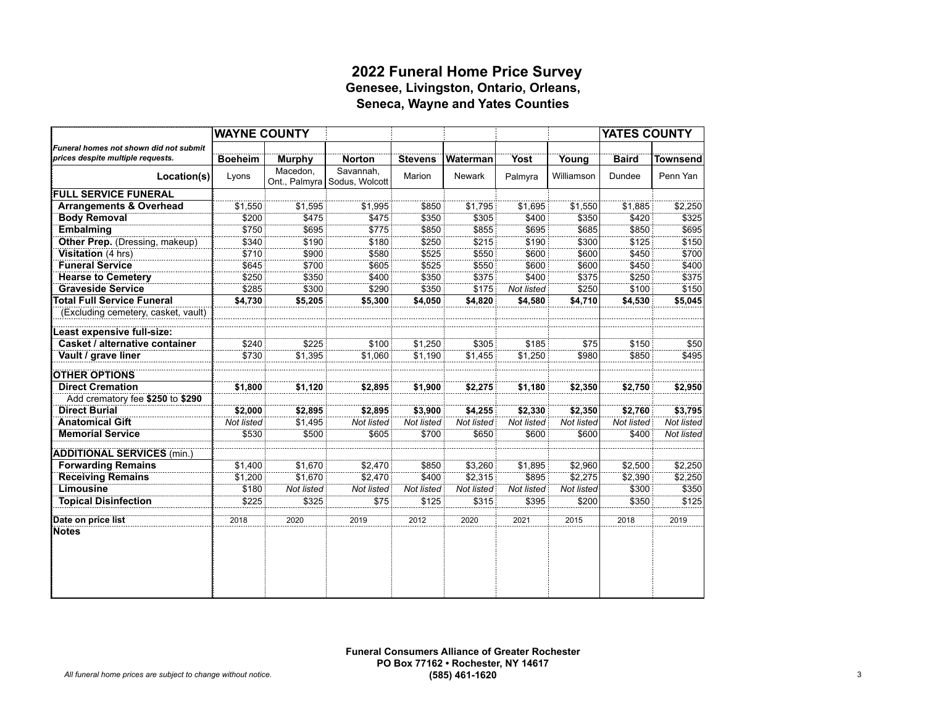#### **2022 Funeral Home Price Survey Genesee, Livingston, Ontario, Orleans, Seneca, Wayne and Yates Counties**

|                                        | <b>WAYNE COUNTY</b> |                           |                             |                |               |             |            | YATES COUNTY |                 |
|----------------------------------------|---------------------|---------------------------|-----------------------------|----------------|---------------|-------------|------------|--------------|-----------------|
| Funeral homes not shown did not submit |                     |                           |                             |                |               |             |            |              |                 |
| prices despite multiple requests.      | <b>Boeheim</b>      | <b>Murphy</b>             | <b>Norton</b>               | <b>Stevens</b> | Waterman      | <b>Yost</b> | Young      | <b>Baird</b> | <b>Townsend</b> |
| Location(s)                            | Lyons               | Macedon.<br>Ont., Palmyra | Savannah.<br>Sodus, Wolcott | Marion         | <b>Newark</b> | Palmyra     | Williamson | Dundee       | Penn Yan        |
| <b>FULL SERVICE FUNERAL</b>            |                     |                           |                             |                |               |             |            |              |                 |
| <b>Arrangements &amp; Overhead</b>     | \$1,550             | \$1,595                   | \$1,995                     | \$850          | \$1,795       | \$1,695     | \$1,550    | \$1,885      | \$2,250         |
| <b>Body Removal</b>                    | \$200               | \$475                     | \$475                       | \$350          | \$305         | \$400       | \$350      | \$420        | \$325           |
| <b>Embalming</b>                       | \$750               | \$695                     | \$775                       | \$850          | \$855         | \$695       | \$685      | \$850        | \$695           |
| Other Prep. (Dressing, makeup)         | \$340               | \$190                     | \$180                       | \$250          | \$215         | \$190       | \$300      | \$125        | \$150           |
| Visitation (4 hrs)                     | \$710               | \$900                     | \$580                       | \$525          | \$550         | \$600       | \$600      | \$450        | \$700           |
| <b>Funeral Service</b>                 | \$645               | \$700                     | \$605                       | \$525          | \$550         | \$600       | \$600      | \$450        | \$400           |
| <b>Hearse to Cemetery</b>              | \$250               | \$350                     | \$400                       | \$350          | \$375         | \$400       | \$375      | \$250        | \$375           |
| <b>Graveside Service</b>               | \$285               | \$300                     | \$290                       | \$350          | \$175         | Not listed  | \$250      | \$100        | \$150           |
| <b>Total Full Service Funeral</b>      | \$4,730             | \$5,205                   | \$5,300                     | \$4,050        | \$4,820       | \$4,580     | \$4,710    | \$4,530      | \$5,045         |
| (Excluding cemetery, casket, vault)    |                     |                           |                             |                |               |             |            |              |                 |
| east expensive full-size:              |                     |                           |                             |                |               |             |            |              |                 |
| Casket / alternative container         | \$240               | \$225                     | \$100                       | \$1,250        | \$305         | \$185       | \$75       | \$150        | \$50            |
| Vault / grave liner                    | \$730               | \$1,395                   | \$1.060                     | \$1.190        | \$1,455       | \$1,250     | \$980      | \$850        | \$495           |
| <b>OTHER OPTIONS</b>                   |                     |                           |                             |                |               |             |            |              |                 |
| <b>Direct Cremation</b>                | \$1,800             | \$1,120                   | \$2,895                     | \$1,900        | \$2,275       | \$1,180     | \$2,350    | \$2,750      | \$2,950         |
| Add crematory fee \$250 to \$290       |                     |                           |                             |                |               |             |            |              |                 |
| <b>Direct Burial</b>                   | \$2,000             | \$2,895                   | \$2,895                     | \$3,900        | \$4,255       | \$2,330     | \$2,350    | \$2,760      | \$3,795         |
| <b>Anatomical Gift</b>                 | Not listed          | \$1,495                   | Not listed                  | Not listed     | Not listed    | Not listed  | Not listed | Not listed   | Not listed      |
| <b>Memorial Service</b>                | \$530               | \$500                     | \$605                       | \$700          | \$650         | \$600       | \$600      | \$400        | Not listed      |
| <b>ADDITIONAL SERVICES (min.)</b>      |                     |                           |                             |                |               |             |            |              |                 |
| <b>Forwarding Remains</b>              | \$1,400             | \$1,670                   | \$2,470                     | \$850          | \$3,260       | \$1,895     | \$2,960    | \$2,500      | \$2,250         |
| <b>Receiving Remains</b>               | \$1,200             | \$1,670                   | \$2,470                     | \$400          | \$2,315       | \$895       | \$2,275    | \$2,390      | \$2,250         |
| Limousine                              | \$180               | Not listed                | Not listed                  | Not listed     | Not listed    | Not listed  | Not listed | \$300        | \$350           |
| <b>Topical Disinfection</b>            | \$225               | \$325                     | \$75                        | \$125          | \$315         | \$395       | \$200      | \$350        | \$125           |
| Date on price list                     | 2018                | 2020                      | 2019                        | 2012           | 2020          | 2021        | 2015       | 2018         | 2019            |
| <b>Notes</b>                           |                     |                           |                             |                |               |             |            |              |                 |
|                                        |                     |                           |                             |                |               |             |            |              |                 |
|                                        |                     |                           |                             |                |               |             |            |              |                 |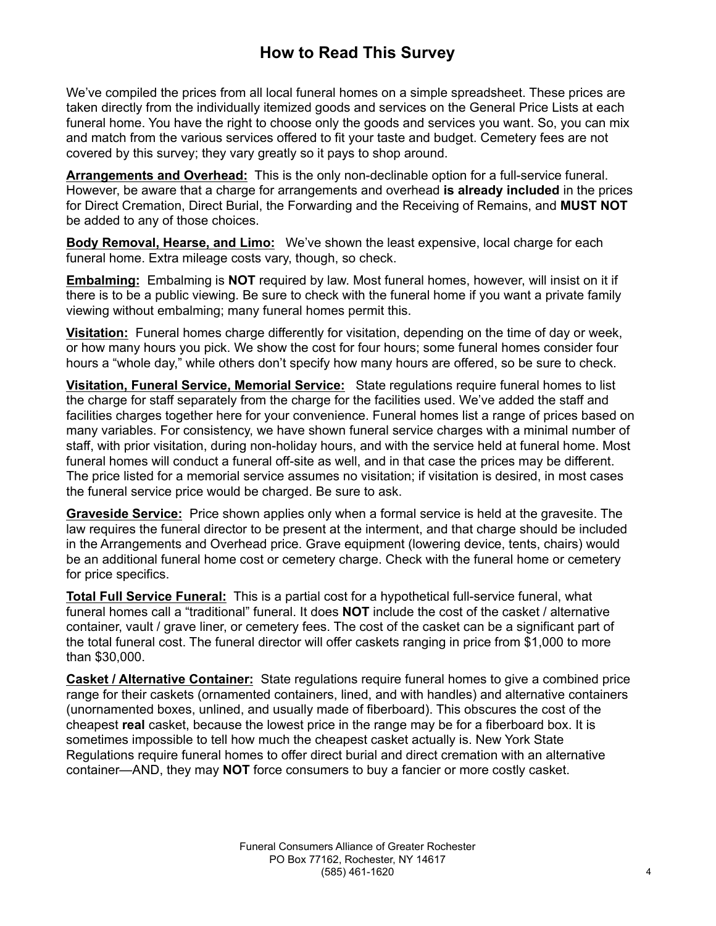# **How to Read This Survey**

We've compiled the prices from all local funeral homes on a simple spreadsheet. These prices are taken directly from the individually itemized goods and services on the General Price Lists at each funeral home. You have the right to choose only the goods and services you want. So, you can mix and match from the various services offered to fit your taste and budget. Cemetery fees are not covered by this survey; they vary greatly so it pays to shop around.

**Arrangements and Overhead:** This is the only non-declinable option for a full-service funeral. However, be aware that a charge for arrangements and overhead **is already included** in the prices for Direct Cremation, Direct Burial, the Forwarding and the Receiving of Remains, and **MUST NOT** be added to any of those choices.

**Body Removal, Hearse, and Limo:** We've shown the least expensive, local charge for each funeral home. Extra mileage costs vary, though, so check.

**Embalming:** Embalming is **NOT** required by law. Most funeral homes, however, will insist on it if there is to be a public viewing. Be sure to check with the funeral home if you want a private family viewing without embalming; many funeral homes permit this.

**Visitation:** Funeral homes charge differently for visitation, depending on the time of day or week, or how many hours you pick. We show the cost for four hours; some funeral homes consider four hours a "whole day," while others don't specify how many hours are offered, so be sure to check.

**Visitation, Funeral Service, Memorial Service:** State regulations require funeral homes to list the charge for staff separately from the charge for the facilities used. We've added the staff and facilities charges together here for your convenience. Funeral homes list a range of prices based on many variables. For consistency, we have shown funeral service charges with a minimal number of staff, with prior visitation, during non-holiday hours, and with the service held at funeral home. Most funeral homes will conduct a funeral off-site as well, and in that case the prices may be different. The price listed for a memorial service assumes no visitation; if visitation is desired, in most cases the funeral service price would be charged. Be sure to ask.

**Graveside Service:** Price shown applies only when a formal service is held at the gravesite. The law requires the funeral director to be present at the interment, and that charge should be included in the Arrangements and Overhead price. Grave equipment (lowering device, tents, chairs) would be an additional funeral home cost or cemetery charge. Check with the funeral home or cemetery for price specifics.

**Total Full Service Funeral:** This is a partial cost for a hypothetical full-service funeral, what funeral homes call a "traditional" funeral. It does **NOT** include the cost of the casket / alternative container, vault / grave liner, or cemetery fees. The cost of the casket can be a significant part of the total funeral cost. The funeral director will offer caskets ranging in price from \$1,000 to more than \$30,000.

**Casket / Alternative Container:** State regulations require funeral homes to give a combined price range for their caskets (ornamented containers, lined, and with handles) and alternative containers (unornamented boxes, unlined, and usually made of fiberboard). This obscures the cost of the cheapest **real** casket, because the lowest price in the range may be for a fiberboard box. It is sometimes impossible to tell how much the cheapest casket actually is. New York State Regulations require funeral homes to offer direct burial and direct cremation with an alternative container—AND, they may **NOT** force consumers to buy a fancier or more costly casket.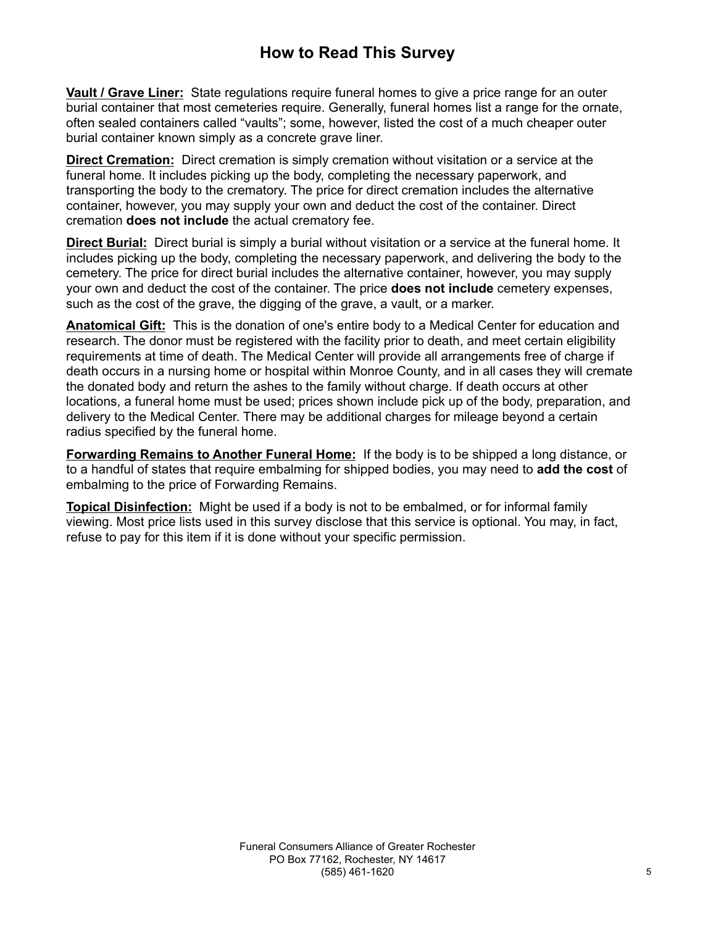# **How to Read This Survey**

**Vault / Grave Liner:** State regulations require funeral homes to give a price range for an outer burial container that most cemeteries require. Generally, funeral homes list a range for the ornate, often sealed containers called "vaults"; some, however, listed the cost of a much cheaper outer burial container known simply as a concrete grave liner.

**Direct Cremation:** Direct cremation is simply cremation without visitation or a service at the funeral home. It includes picking up the body, completing the necessary paperwork, and transporting the body to the crematory. The price for direct cremation includes the alternative container, however, you may supply your own and deduct the cost of the container. Direct cremation **does not include** the actual crematory fee.

**Direct Burial:** Direct burial is simply a burial without visitation or a service at the funeral home. It includes picking up the body, completing the necessary paperwork, and delivering the body to the cemetery. The price for direct burial includes the alternative container, however, you may supply your own and deduct the cost of the container. The price **does not include** cemetery expenses, such as the cost of the grave, the digging of the grave, a vault, or a marker.

**Anatomical Gift:** This is the donation of one's entire body to a Medical Center for education and research. The donor must be registered with the facility prior to death, and meet certain eligibility requirements at time of death. The Medical Center will provide all arrangements free of charge if death occurs in a nursing home or hospital within Monroe County, and in all cases they will cremate the donated body and return the ashes to the family without charge. If death occurs at other locations, a funeral home must be used; prices shown include pick up of the body, preparation, and delivery to the Medical Center. There may be additional charges for mileage beyond a certain radius specified by the funeral home.

**Forwarding Remains to Another Funeral Home:** If the body is to be shipped a long distance, or to a handful of states that require embalming for shipped bodies, you may need to **add the cost** of embalming to the price of Forwarding Remains.

**Topical Disinfection:** Might be used if a body is not to be embalmed, or for informal family viewing. Most price lists used in this survey disclose that this service is optional. You may, in fact, refuse to pay for this item if it is done without your specific permission.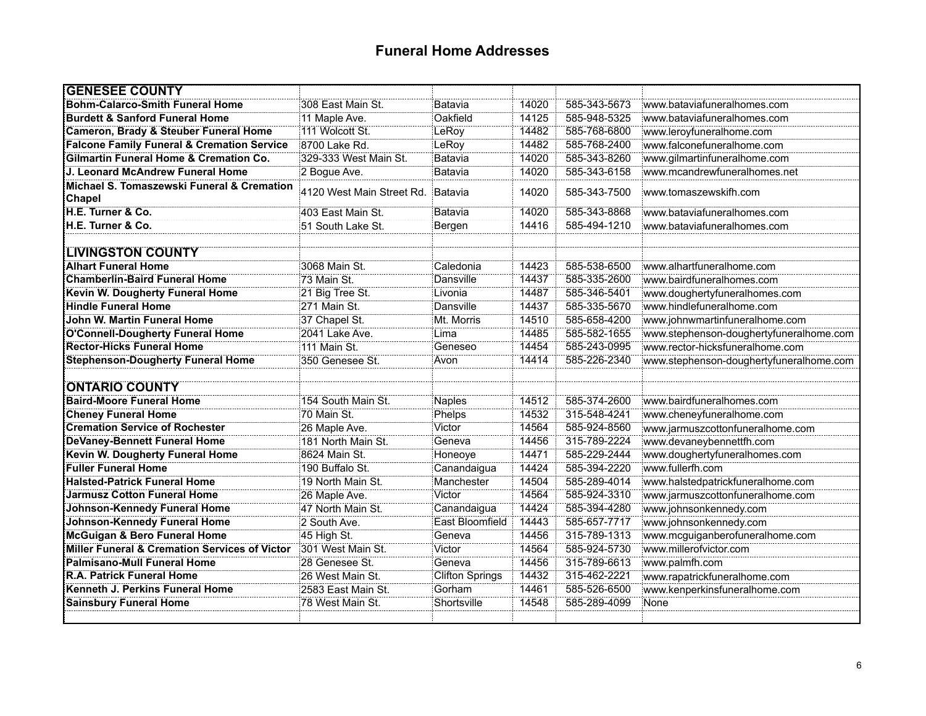## **Funeral Home Addresses**

| <b>GENESEE COUNTY</b>                                 |                           |                        |       |              |                                         |
|-------------------------------------------------------|---------------------------|------------------------|-------|--------------|-----------------------------------------|
| <b>Bohm-Calarco-Smith Funeral Home</b>                | 308 East Main St.         | Batavia                | 14020 | 585-343-5673 | www.bataviafuneralhomes.com             |
| <b>Burdett &amp; Sanford Funeral Home</b>             | 11 Maple Ave.             | Oakfield               | 14125 | 585-948-5325 | www.bataviafuneralhomes.com             |
| Cameron, Brady & Steuber Funeral Home                 | 111 Wolcott St.           | LeRoy                  | 14482 | 585-768-6800 | www.leroyfuneralhome.com                |
| <b>Falcone Family Funeral &amp; Cremation Service</b> | 8700 Lake Rd.             | LeRoy                  | 14482 | 585-768-2400 | www.falconefuneralhome.com              |
| <b>Gilmartin Funeral Home &amp; Cremation Co.</b>     | 329-333 West Main St.     | Batavia                | 14020 | 585-343-8260 | www.gilmartinfuneralhome.com            |
| J. Leonard McAndrew Funeral Home                      | 2 Bogue Ave.              | Batavia                | 14020 | 585-343-6158 | www.mcandrewfuneralhomes.net            |
| Michael S. Tomaszewski Funeral & Cremation<br>Chapel  | 4120 West Main Street Rd. | Batavia                | 14020 | 585-343-7500 | www.tomaszewskifh.com                   |
| H.E. Turner & Co.                                     | 403 East Main St.         | Batavia                | 14020 | 585-343-8868 | www.bataviafuneralhomes.com             |
| <b>H.E. Turner &amp; Co.</b>                          | 51 South Lake St.         | Bergen                 | 14416 | 585-494-1210 | www.bataviafuneralhomes.com             |
|                                                       |                           |                        |       |              |                                         |
| <b>LIVINGSTON COUNTY</b>                              |                           |                        |       |              |                                         |
| <b>Alhart Funeral Home</b>                            | 3068 Main St.             | Caledonia              | 14423 | 585-538-6500 | www.alhartfuneralhome.com               |
| <b>Chamberlin-Baird Funeral Home</b>                  | 73 Main St.               | Dansville              | 14437 | 585-335-2600 | www.bairdfuneralhomes.com               |
| Kevin W. Dougherty Funeral Home                       | 21 Big Tree St.           | Livonia                | 14487 | 585-346-5401 | www.doughertyfuneralhomes.com           |
| <b>Hindle Funeral Home</b>                            | 271 Main St.              | Dansville              | 14437 | 585-335-5670 | www.hindlefuneralhome.com               |
| John W. Martin Funeral Home                           | 37 Chapel St.             | Mt. Morris             | 14510 | 585-658-4200 | www.johnwmartinfuneralhome.com          |
| O'Connell-Dougherty Funeral Home                      | 2041 Lake Ave.            | Lima                   | 14485 | 585-582-1655 | www.stephenson-doughertyfuneralhome.com |
| <b>Rector-Hicks Funeral Home</b>                      | 111 Main St.              | Geneseo                | 14454 | 585-243-0995 | www.rector-hicksfuneralhome.com         |
| <b>Stephenson-Dougherty Funeral Home</b>              | 350 Genesee St.           | Avon                   | 14414 | 585-226-2340 | www.stephenson-doughertyfuneralhome.com |
|                                                       |                           |                        |       |              |                                         |
| <b>ONTARIO COUNTY</b>                                 |                           |                        |       |              |                                         |
| <b>Baird-Moore Funeral Home</b>                       | 154 South Main St.        | <b>Naples</b>          | 14512 | 585-374-2600 | www.bairdfuneralhomes.com               |
| <b>Cheney Funeral Home</b>                            | 70 Main St.               | <b>Phelps</b>          | 14532 | 315-548-4241 | www.cheneyfuneralhome.com               |
| <b>Cremation Service of Rochester</b>                 | 26 Maple Ave.             | Victor                 | 14564 | 585-924-8560 | www.jarmuszcottonfuneralhome.com        |
| <b>DeVaney-Bennett Funeral Home</b>                   | 181 North Main St.        | Geneva                 | 14456 | 315-789-2224 | www.devaneybennettfh.com                |
| Kevin W. Dougherty Funeral Home                       | 8624 Main St.             | Honeoye                | 14471 | 585-229-2444 | www.doughertyfuneralhomes.com           |
| <b>Fuller Funeral Home</b>                            | 190 Buffalo St.           | Canandaigua            | 14424 | 585-394-2220 | www.fullerfh.com                        |
| <b>Halsted-Patrick Funeral Home</b>                   | 19 North Main St.         | Manchester             | 14504 | 585-289-4014 | www.halstedpatrickfuneralhome.com       |
| <b>Jarmusz Cotton Funeral Home</b>                    | 26 Maple Ave.             | Victor                 | 14564 | 585-924-3310 | www.jarmuszcottonfuneralhome.com        |
| <b>Johnson-Kennedy Funeral Home</b>                   | 47 North Main St.         | Canandaigua            | 14424 | 585-394-4280 | www.johnsonkennedy.com                  |
| <b>Johnson-Kennedy Funeral Home</b>                   | 2 South Ave.              | East Bloomfield        | 14443 | 585-657-7717 | www.johnsonkennedy.com                  |
| <b>McGuigan &amp; Bero Funeral Home</b>               | 45 High St.               | Geneva                 | 14456 | 315-789-1313 | www.mcguiganberofuneralhome.com         |
| Miller Funeral & Cremation Services of Victor         | 301 West Main St.         | Victor                 | 14564 | 585-924-5730 | www.millerofvictor.com                  |
| Palmisano-Mull Funeral Home                           | 28 Genesee St.            | Geneva                 | 14456 | 315-789-6613 | www.palmfh.com                          |
| R.A. Patrick Funeral Home                             | 26 West Main St.          | <b>Clifton Springs</b> | 14432 | 315-462-2221 | www.rapatrickfuneralhome.com            |
| Kenneth J. Perkins Funeral Home                       | 2583 East Main St.        | Gorham                 | 14461 | 585-526-6500 | www.kenperkinsfuneralhome.com           |
| <b>Sainsbury Funeral Home</b>                         | 78 West Main St.          | Shortsville            | 14548 | 585-289-4099 | None                                    |
|                                                       |                           |                        |       |              |                                         |